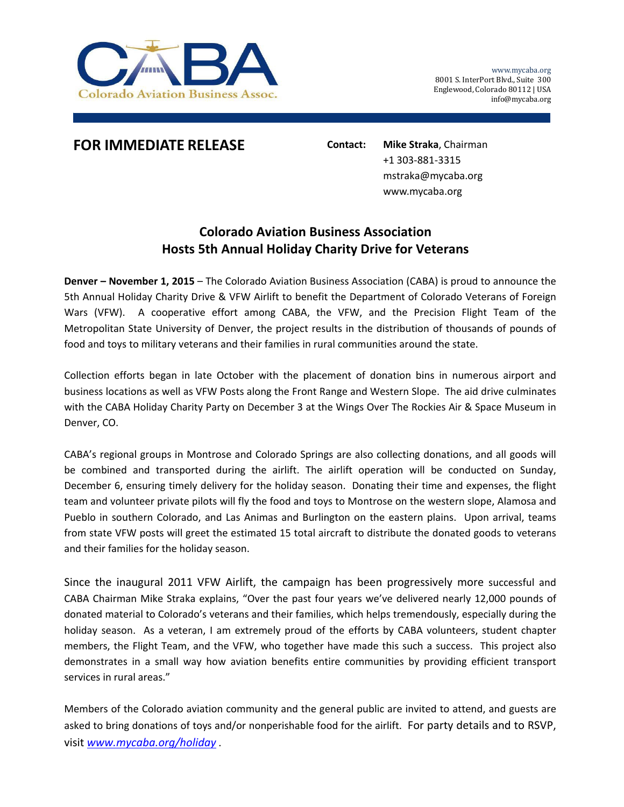

## **FOR IMMEDIATE RELEASE Contact: Mike Straka**, Chairman

+1 303‐881‐3315 mstraka@mycaba.org www.mycaba.org

## **Colorado Aviation Business Association Hosts 5th Annual Holiday Charity Drive for Veterans**

**Denver – November 1, 2015** – The Colorado Aviation Business Association (CABA) is proud to announce the 5th Annual Holiday Charity Drive & VFW Airlift to benefit the Department of Colorado Veterans of Foreign Wars (VFW). A cooperative effort among CABA, the VFW, and the Precision Flight Team of the Metropolitan State University of Denver, the project results in the distribution of thousands of pounds of food and toys to military veterans and their families in rural communities around the state.

Collection efforts began in late October with the placement of donation bins in numerous airport and business locations as well as VFW Posts along the Front Range and Western Slope. The aid drive culminates with the CABA Holiday Charity Party on December 3 at the Wings Over The Rockies Air & Space Museum in Denver, CO.

CABA's regional groups in Montrose and Colorado Springs are also collecting donations, and all goods will be combined and transported during the airlift. The airlift operation will be conducted on Sunday, December 6, ensuring timely delivery for the holiday season. Donating their time and expenses, the flight team and volunteer private pilots will fly the food and toys to Montrose on the western slope, Alamosa and Pueblo in southern Colorado, and Las Animas and Burlington on the eastern plains. Upon arrival, teams from state VFW posts will greet the estimated 15 total aircraft to distribute the donated goods to veterans and their families for the holiday season.

Since the inaugural 2011 VFW Airlift, the campaign has been progressively more successful and CABA Chairman Mike Straka explains, "Over the past four years we've delivered nearly 12,000 pounds of donated material to Colorado's veterans and their families, which helps tremendously, especially during the holiday season. As a veteran, I am extremely proud of the efforts by CABA volunteers, student chapter members, the Flight Team, and the VFW, who together have made this such a success. This project also demonstrates in a small way how aviation benefits entire communities by providing efficient transport services in rural areas."

Members of the Colorado aviation community and the general public are invited to attend, and guests are asked to bring donations of toys and/or nonperishable food for the airlift. For party details and to RSVP, visit *www.mycaba.org/holiday* .